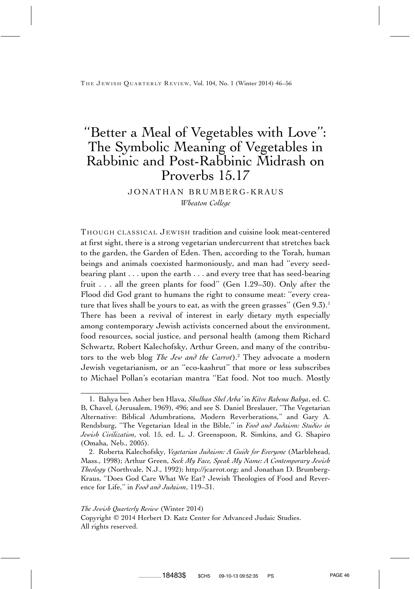THE JEWISH QUARTERLY REVIEW, Vol. 104, No. 1 (Winter 2014) 46–56

# ''Better a Meal of Vegetables with Love'': The Symbolic Meaning of Vegetables in Rabbinic and Post-Rabbinic Midrash on Proverbs 15.17

## JONATHAN BRUMBERG-KRAUS *Wheaton College*

THOUGH CLASSICAL JEWISH tradition and cuisine look meat-centered at first sight, there is a strong vegetarian undercurrent that stretches back to the garden, the Garden of Eden. Then, according to the Torah, human beings and animals coexisted harmoniously, and man had ''every seedbearing plant . . . upon the earth . . . and every tree that has seed-bearing fruit . . . all the green plants for food'' (Gen 1.29–30). Only after the Flood did God grant to humans the right to consume meat: ''every creature that lives shall be yours to eat, as with the green grasses" (Gen  $9.3$ ).<sup>1</sup> There has been a revival of interest in early dietary myth especially among contemporary Jewish activists concerned about the environment, food resources, social justice, and personal health (among them Richard Schwartz, Robert Kalechofsky, Arthur Green, and many of the contributors to the web blog *The Jew and the Carrot*).2 They advocate a modern Jewish vegetarianism, or an ''eco-kashrut'' that more or less subscribes to Michael Pollan's ecotarian mantra ''Eat food. Not too much. Mostly

#### *The Jewish Quarterly Review* (Winter 2014)

Copyright © 2014 Herbert D. Katz Center for Advanced Judaic Studies. All rights reserved.

<sup>1.</sup> Bahya ben Asher ben Hlava, *Shulhan Shel Arba'* in *Kitve Rabenu Bahya*, ed. C. B, Chavel, (Jerusalem, 1969), 496; and see S. Daniel Breslauer, ''The Vegetarian Alternative: Biblical Adumbrations, Modern Reverberations,'' and Gary A. Rendsburg, ''The Vegetarian Ideal in the Bible,'' in *Food and Judaism: Studies in Jewish Civilization*, vol. 15, ed. L. J. Greenspoon, R. Simkins, and G. Shapiro (Omaha, Neb., 2005).

<sup>2.</sup> Roberta Kalechofsky, *Vegetarian Judaism: A Guide for Everyone* (Marblehead, Mass., 1998); Arthur Green, *Seek My Face, Speak My Name: A Contemporary Jewish Theology* (Northvale, N.J., 1992); http://jcarrot.org; and Jonathan D. Brumberg-Kraus, ''Does God Care What We Eat? Jewish Theologies of Food and Reverence for Life,'' in *Food and Judaism*, 119–31.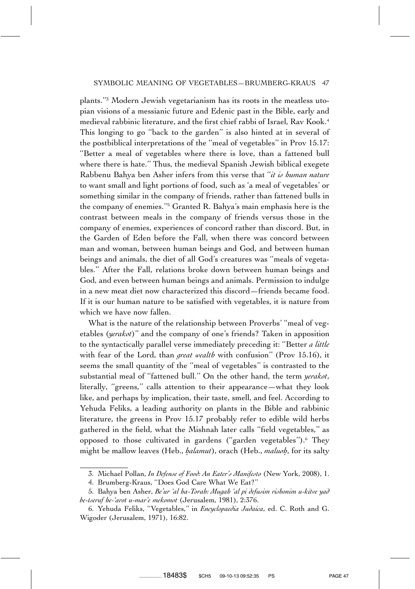plants.''3 Modern Jewish vegetarianism has its roots in the meatless utopian visions of a messianic future and Edenic past in the Bible, early and medieval rabbinic literature, and the first chief rabbi of Israel, Rav Kook.4 This longing to go ''back to the garden'' is also hinted at in several of the postbiblical interpretations of the ''meal of vegetables'' in Prov 15.17: ''Better a meal of vegetables where there is love, than a fattened bull where there is hate.'' Thus, the medieval Spanish Jewish biblical exegete Rabbenu Bahya ben Asher infers from this verse that ''*it is human nature* to want small and light portions of food, such as 'a meal of vegetables' or something similar in the company of friends, rather than fattened bulls in the company of enemies.''5 Granted R. Bahya's main emphasis here is the contrast between meals in the company of friends versus those in the company of enemies, experiences of concord rather than discord. But, in the Garden of Eden before the Fall, when there was concord between man and woman, between human beings and God, and between human beings and animals, the diet of all God's creatures was ''meals of vegetables.'' After the Fall, relations broke down between human beings and God, and even between human beings and animals. Permission to indulge in a new meat diet now characterized this discord—friends became food. If it is our human nature to be satisfied with vegetables, it is nature from which we have now fallen.

What is the nature of the relationship between Proverbs' ''meal of vegetables (*yerakot*)'' and the company of one's friends? Taken in apposition to the syntactically parallel verse immediately preceding it: ''Better *a little* with fear of the Lord, than *great wealth* with confusion'' (Prov 15.16), it seems the small quantity of the ''meal of vegetables'' is contrasted to the substantial meal of ''fattened bull.'' On the other hand, the term *yerakot*, literally, ''greens,'' calls attention to their appearance—what they look like, and perhaps by implication, their taste, smell, and feel. According to Yehuda Feliks, a leading authority on plants in the Bible and rabbinic literature, the greens in Prov 15.17 probably refer to edible wild herbs gathered in the field, what the Mishnah later calls ''field vegetables,'' as opposed to those cultivated in gardens ("garden vegetables").<sup>6</sup> They might be mallow leaves (Heb., *halamut*), orach (Heb., *maluoh*, for its salty

<sup>3.</sup> Michael Pollan, *In Defense of Food: An Eater's Manifesto* (New York, 2008), 1.

<sup>4.</sup> Brumberg-Kraus, ''Does God Care What We Eat?''

<sup>5.</sup> Bahya ben Asher, *Be'ur 'al ha-Torah: Mugah 'al pi defusim rishonim u-kitve yad be-tseruf he-'arot u-mar'e mekomot* (Jerusalem, 1981), 2:376.

<sup>6.</sup> Yehuda Feliks, ''Vegetables,'' in *Encyclopaedia Judaica*, ed. C. Roth and G. Wigoder (Jerusalem, 1971), 16:82.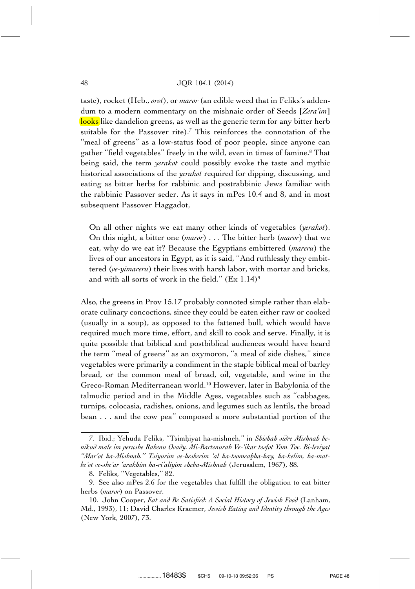taste), rocket (Heb., *orot*), or *maror* (an edible weed that in Feliks's addendum to a modern commentary on the mishnaic order of Seeds [*Zera'im*] looks like dandelion greens, as well as the generic term for any bitter herb suitable for the Passover rite).<sup>7</sup> This reinforces the connotation of the "meal of greens" as a low-status food of poor people, since anyone can gather ''field vegetables'' freely in the wild, even in times of famine.8 That being said, the term *yerakot* could possibly evoke the taste and mythic historical associations of the *yerakot* required for dipping, discussing, and eating as bitter herbs for rabbinic and postrabbinic Jews familiar with the rabbinic Passover seder. As it says in mPes 10.4 and 8, and in most subsequent Passover Haggadot,

On all other nights we eat many other kinds of vegetables (*yerakot*). On this night, a bitter one (*maror*) . . . The bitter herb (*maror*) that we eat, why do we eat it? Because the Egyptians embittered (*mareru*) the lives of our ancestors in Egypt, as it is said, ''And ruthlessly they embittered (*ve-yimareru*) their lives with harsh labor, with mortar and bricks, and with all sorts of work in the field."  $(Ex\ 1.14)^9$ 

Also, the greens in Prov 15.17 probably connoted simple rather than elaborate culinary concoctions, since they could be eaten either raw or cooked (usually in a soup), as opposed to the fattened bull, which would have required much more time, effort, and skill to cook and serve. Finally, it is quite possible that biblical and postbiblical audiences would have heard the term ''meal of greens'' as an oxymoron, ''a meal of side dishes,'' since vegetables were primarily a condiment in the staple biblical meal of barley bread, or the common meal of bread, oil, vegetable, and wine in the Greco-Roman Mediterranean world.10 However, later in Babylonia of the talmudic period and in the Middle Ages, vegetables such as ''cabbages, turnips, colocasia, radishes, onions, and legumes such as lentils, the broad bean . . . and the cow pea'' composed a more substantial portion of the

<sup>7.</sup> Ibid.; Yehuda Feliks, "Tsimhiyat ha-mishneh," in Shishah sidre Mishnah be*nikud male im perushe Rabenu Ovady. Mi-Bartenurah Ve-'ikar tosfot Yom Tov. Bi-leviyat* "Mar'ot ha-Mishnah." Tsiyurim ve-hesberim 'al ha-tsomeabha-hay, ha-kelim, ha-mat*be'ot ve-she'ar 'arakhim ha-ri'aliyim sheba-Mishnah* (Jerusalem, 1967), 88.

<sup>8.</sup> Feliks, ''Vegetables,'' 82.

<sup>9.</sup> See also mPes 2.6 for the vegetables that fulfill the obligation to eat bitter herbs (*maror*) on Passover.

<sup>10.</sup> John Cooper, *Eat and Be Satisfied: A Social History of Jewish Food* (Lanham, Md., 1993), 11; David Charles Kraemer, *Jewish Eating and Identity through the Ages* (New York, 2007), 73.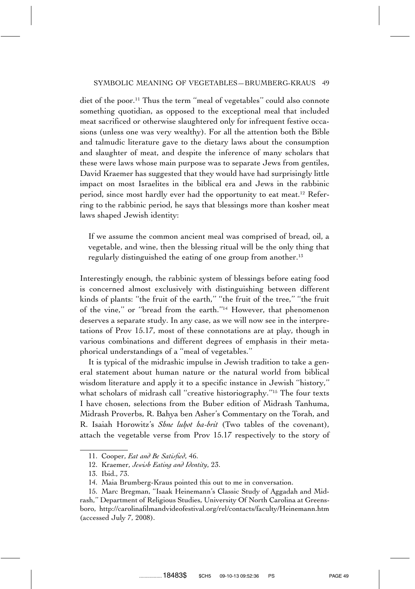diet of the poor.<sup>11</sup> Thus the term "meal of vegetables" could also connote something quotidian, as opposed to the exceptional meal that included meat sacrificed or otherwise slaughtered only for infrequent festive occasions (unless one was very wealthy). For all the attention both the Bible and talmudic literature gave to the dietary laws about the consumption and slaughter of meat, and despite the inference of many scholars that these were laws whose main purpose was to separate Jews from gentiles, David Kraemer has suggested that they would have had surprisingly little impact on most Israelites in the biblical era and Jews in the rabbinic period, since most hardly ever had the opportunity to eat meat.<sup>12</sup> Referring to the rabbinic period, he says that blessings more than kosher meat laws shaped Jewish identity:

If we assume the common ancient meal was comprised of bread, oil, a vegetable, and wine, then the blessing ritual will be the only thing that regularly distinguished the eating of one group from another.<sup>13</sup>

Interestingly enough, the rabbinic system of blessings before eating food is concerned almost exclusively with distinguishing between different kinds of plants: ''the fruit of the earth,'' ''the fruit of the tree,'' ''the fruit of the vine,'' or ''bread from the earth.''14 However, that phenomenon deserves a separate study. In any case, as we will now see in the interpretations of Prov 15.17, most of these connotations are at play, though in various combinations and different degrees of emphasis in their metaphorical understandings of a ''meal of vegetables.''

It is typical of the midrashic impulse in Jewish tradition to take a general statement about human nature or the natural world from biblical wisdom literature and apply it to a specific instance in Jewish ''history,'' what scholars of midrash call "creative historiography."<sup>15</sup> The four texts I have chosen, selections from the Buber edition of Midrash Tanhuma, Midrash Proverbs, R. Bahya ben Asher's Commentary on the Torah, and R. Isaiah Horowitz's *Shne luhot ha-brit* (Two tables of the covenant), attach the vegetable verse from Prov 15.17 respectively to the story of

<sup>11.</sup> Cooper, *Eat and Be Satisfied*, 46.

<sup>12.</sup> Kraemer, *Jewish Eating and Identity*, 23.

<sup>13.</sup> Ibid., 73.

<sup>14.</sup> Maia Brumberg-Kraus pointed this out to me in conversation.

<sup>15.</sup> Marc Bregman, ''Isaak Heinemann's Classic Study of Aggadah and Midrash,'' Department of Religious Studies, University Of North Carolina at Greensboro, http://carolinafilmandvideofestival.org/rel/contacts/faculty/Heinemann.htm (accessed July 7, 2008).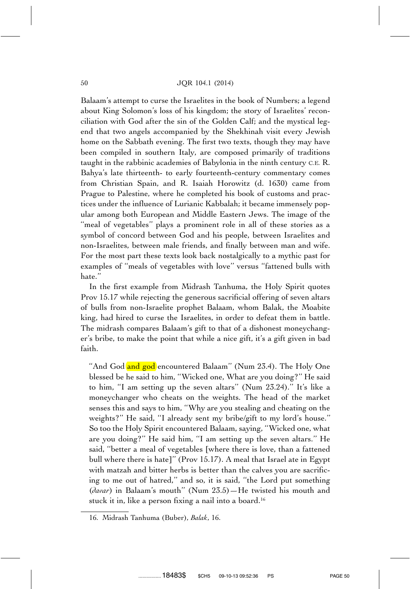Balaam's attempt to curse the Israelites in the book of Numbers; a legend about King Solomon's loss of his kingdom; the story of Israelites' reconciliation with God after the sin of the Golden Calf; and the mystical legend that two angels accompanied by the Shekhinah visit every Jewish home on the Sabbath evening. The first two texts, though they may have been compiled in southern Italy, are composed primarily of traditions taught in the rabbinic academies of Babylonia in the ninth century C.E. R. Bahya's late thirteenth- to early fourteenth-century commentary comes from Christian Spain, and R. Isaiah Horowitz (d. 1630) came from Prague to Palestine, where he completed his book of customs and practices under the influence of Lurianic Kabbalah; it became immensely popular among both European and Middle Eastern Jews. The image of the "meal of vegetables" plays a prominent role in all of these stories as a symbol of concord between God and his people, between Israelites and non-Israelites, between male friends, and finally between man and wife. For the most part these texts look back nostalgically to a mythic past for examples of ''meals of vegetables with love'' versus ''fattened bulls with hate.''

In the first example from Midrash Tanhuma, the Holy Spirit quotes Prov 15.17 while rejecting the generous sacrificial offering of seven altars of bulls from non-Israelite prophet Balaam, whom Balak, the Moabite king, had hired to curse the Israelites, in order to defeat them in battle. The midrash compares Balaam's gift to that of a dishonest moneychanger's bribe, to make the point that while a nice gift, it's a gift given in bad faith.

"And God and god encountered Balaam" (Num 23.4). The Holy One blessed be he said to him, ''Wicked one, What are you doing?'' He said to him, ''I am setting up the seven altars'' (Num 23.24).'' It's like a moneychanger who cheats on the weights. The head of the market senses this and says to him, ''Why are you stealing and cheating on the weights?'' He said, ''I already sent my bribe/gift to my lord's house.'' So too the Holy Spirit encountered Balaam, saying, ''Wicked one, what are you doing?'' He said him, ''I am setting up the seven altars.'' He said, ''better a meal of vegetables [where there is love, than a fattened bull where there is hate]'' (Prov 15.17). A meal that Israel ate in Egypt with matzah and bitter herbs is better than the calves you are sacrificing to me out of hatred,'' and so, it is said, ''the Lord put something (*davar*) in Balaam's mouth'' (Num 23.5)—He twisted his mouth and stuck it in, like a person fixing a nail into a board.<sup>16</sup>

<sup>16.</sup> Midrash Tanhuma (Buber), *Balak*, 16.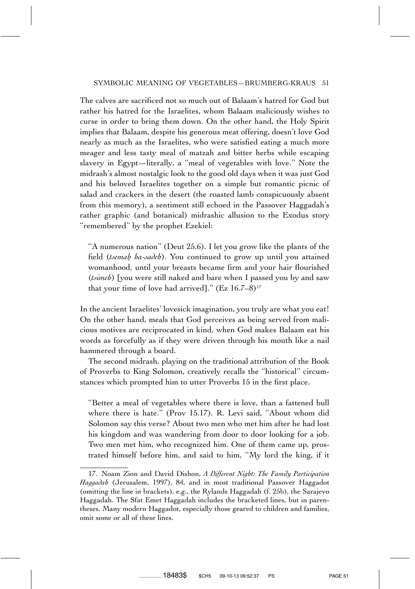The calves are sacrificed not so much out of Balaam's hatred for God but rather his hatred for the Israelites, whom Balaam maliciously wishes to curse in order to bring them down. On the other hand, the Holy Spirit implies that Balaam, despite his generous meat offering, doesn't love God nearly as much as the Israelites, who were satisfied eating a much more meager and less tasty meal of matzah and bitter herbs while escaping slavery in Egypt—literally, a ''meal of vegetables with love.'' Note the midrash's almost nostalgic look to the good old days when it was just God and his beloved Israelites together on a simple but romantic picnic of salad and crackers in the desert (the roasted lamb conspicuously absent from this memory), a sentiment still echoed in the Passover Haggadah's rather graphic (and botanical) midrashic allusion to the Exodus story ''remembered'' by the prophet Ezekiel:

''A numerous nation'' (Deut 25.6). I let you grow like the plants of the field (*tsemah. ha-sadeh*). You continued to grow up until you attained womanhood, until your breasts became firm and your hair flourished (*tsimeh*) [you were still naked and bare when I passed you by and saw that your time of love had arrived]."  $(Ez \ 16.7-8)^{17}$ 

In the ancient Israelites' lovesick imagination, you truly are what you eat! On the other hand, meals that God perceives as being served from malicious motives are reciprocated in kind, when God makes Balaam eat his words as forcefully as if they were driven through his mouth like a nail hammered through a board.

The second midrash, playing on the traditional attribution of the Book of Proverbs to King Solomon, creatively recalls the ''historical'' circumstances which prompted him to utter Proverbs 15 in the first place.

''Better a meal of vegetables where there is love, than a fattened bull where there is hate.'' (Prov 15.17). R. Levi said, ''About whom did Solomon say this verse? About two men who met him after he had lost his kingdom and was wandering from door to door looking for a job. Two men met him, who recognized him. One of them came up, prostrated himself before him, and said to him, ''My lord the king, if it

<sup>17.</sup> Noam Zion and David Dishon, *A Different Night: The Family Participation Haggadah* (Jerusalem, 1997), 84, and in most traditional Passover Haggadot (omitting the line in brackets), e.g., the Rylands Haggadah (f. 25b), the Sarajevo Haggadah. The Sfat Emet Haggadah includes the bracketed lines, but in parentheses. Many modern Haggadot, especially those geared to children and families, omit some or all of these lines.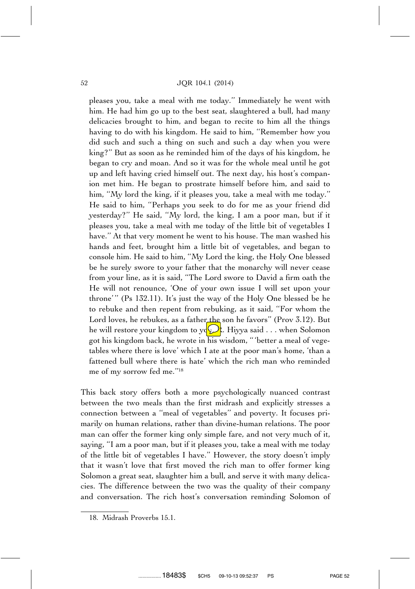pleases you, take a meal with me today.'' Immediately he went with him. He had him go up to the best seat, slaughtered a bull, had many delicacies brought to him, and began to recite to him all the things having to do with his kingdom. He said to him, ''Remember how you did such and such a thing on such and such a day when you were king?'' But as soon as he reminded him of the days of his kingdom, he began to cry and moan. And so it was for the whole meal until he got up and left having cried himself out. The next day, his host's companion met him. He began to prostrate himself before him, and said to him, "My lord the king, if it pleases you, take a meal with me today." He said to him, ''Perhaps you seek to do for me as your friend did yesterday?'' He said, ''My lord, the king, I am a poor man, but if it pleases you, take a meal with me today of the little bit of vegetables I have.'' At that very moment he went to his house. The man washed his hands and feet, brought him a little bit of vegetables, and began to console him. He said to him, ''My Lord the king, the Holy One blessed be he surely swore to your father that the monarchy will never cease from your line, as it is said, ''The Lord swore to David a firm oath the He will not renounce, 'One of your own issue I will set upon your throne'" (Ps 132.11). It's just the way of the Holy One blessed be he to rebuke and then repent from rebuking, as it said, ''For whom the Lord loves, he rebukes, as a father the son he favors" (Prov 3.12). But he will restore your kingdom to you. Hiyya said . . . when Solomon got his kingdom back, he wrote in his wisdom, '' 'better a meal of vegetables where there is love' which I ate at the poor man's home, 'than a fattened bull where there is hate' which the rich man who reminded me of my sorrow fed me.''18

This back story offers both a more psychologically nuanced contrast between the two meals than the first midrash and explicitly stresses a connection between a ''meal of vegetables'' and poverty. It focuses primarily on human relations, rather than divine-human relations. The poor man can offer the former king only simple fare, and not very much of it, saying, ''I am a poor man, but if it pleases you, take a meal with me today of the little bit of vegetables I have.'' However, the story doesn't imply that it wasn't love that first moved the rich man to offer former king Solomon a great seat, slaughter him a bull, and serve it with many delicacies. The difference between the two was the quality of their company and conversation. The rich host's conversation reminding Solomon of

.................18483\$ \$CH5 09-10-13 09:52:37 PS PAGE 52

<sup>18.</sup> Midrash Proverbs 15.1.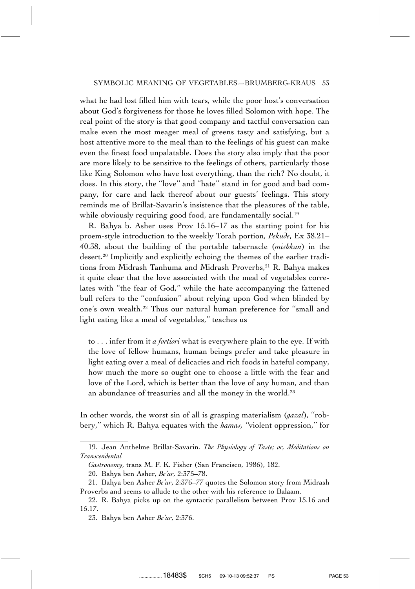what he had lost filled him with tears, while the poor host's conversation about God's forgiveness for those he loves filled Solomon with hope. The real point of the story is that good company and tactful conversation can make even the most meager meal of greens tasty and satisfying, but a host attentive more to the meal than to the feelings of his guest can make even the finest food unpalatable. Does the story also imply that the poor are more likely to be sensitive to the feelings of others, particularly those like King Solomon who have lost everything, than the rich? No doubt, it does. In this story, the ''love'' and ''hate'' stand in for good and bad company, for care and lack thereof about our guests' feelings. This story reminds me of Brillat-Savarin's insistence that the pleasures of the table, while obviously requiring good food, are fundamentally social.<sup>19</sup>

R. Bahya b. Asher uses Prov 15.16–17 as the starting point for his proem-style introduction to the weekly Torah portion, *Pekude*, Ex 38.21– 40.38, about the building of the portable tabernacle (*mishkan*) in the desert.20 Implicitly and explicitly echoing the themes of the earlier traditions from Midrash Tanhuma and Midrash Proverbs,<sup>21</sup> R. Bahya makes it quite clear that the love associated with the meal of vegetables correlates with ''the fear of God,'' while the hate accompanying the fattened bull refers to the ''confusion'' about relying upon God when blinded by one's own wealth.22 Thus our natural human preference for ''small and light eating like a meal of vegetables,'' teaches us

to . . . infer from it *a fortiori* what is everywhere plain to the eye. If with the love of fellow humans, human beings prefer and take pleasure in light eating over a meal of delicacies and rich foods in hateful company, how much the more so ought one to choose a little with the fear and love of the Lord, which is better than the love of any human, and than an abundance of treasuries and all the money in the world.<sup>23</sup>

In other words, the worst sin of all is grasping materialism (*gazal*), ''robbery,'' which R. Bahya equates with the *hamas, ''*violent oppression,'' for

<sup>19.</sup> Jean Anthelme Brillat-Savarin. *The Physiology of Taste; or, Meditations on Transcendental*

*Gastronomy*, trans M. F. K. Fisher (San Francisco, 1986), 182.

<sup>20.</sup> Bahya ben Asher, *Be'ur*, 2:375–78.

<sup>21.</sup> Bahya ben Asher *Be'ur*, 2:376–77 quotes the Solomon story from Midrash Proverbs and seems to allude to the other with his reference to Balaam.

<sup>22.</sup> R. Bahya picks up on the syntactic parallelism between Prov 15.16 and 15.17.

<sup>23.</sup> Bahya ben Asher *Be'ur*, 2:376.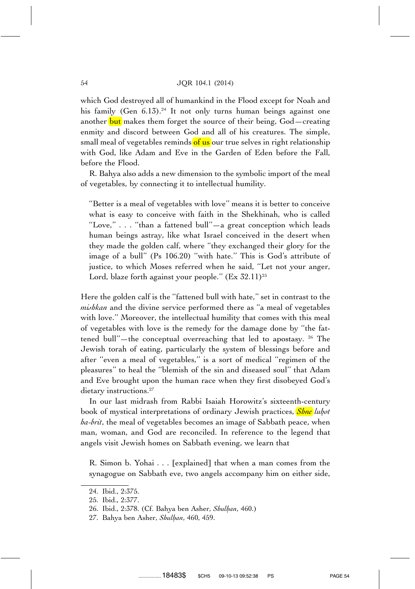which God destroyed all of humankind in the Flood except for Noah and his family (Gen 6.13).<sup>24</sup> It not only turns human beings against one another but makes them forget the source of their being, God-creating enmity and discord between God and all of his creatures. The simple, small meal of vegetables reminds of us our true selves in right relationship with God, like Adam and Eve in the Garden of Eden before the Fall, before the Flood.

R. Bahya also adds a new dimension to the symbolic import of the meal of vegetables, by connecting it to intellectual humility.

''Better is a meal of vegetables with love'' means it is better to conceive what is easy to conceive with faith in the Shekhinah, who is called ''Love,'' . . . ''than a fattened bull''—a great conception which leads human beings astray, like what Israel conceived in the desert when they made the golden calf, where ''they exchanged their glory for the image of a bull'' (Ps 106.20) ''with hate.'' This is God's attribute of justice, to which Moses referred when he said, ''Let not your anger, Lord, blaze forth against your people."  $(Ex\ 32.11)^{25}$ 

Here the golden calf is the ''fattened bull with hate,'' set in contrast to the *mishkan* and the divine service performed there as ''a meal of vegetables with love.'' Moreover, the intellectual humility that comes with this meal of vegetables with love is the remedy for the damage done by ''the fattened bull"—the conceptual overreaching that led to apostasy.  $26$  The Jewish torah of eating, particularly the system of blessings before and after ''even a meal of vegetables,'' is a sort of medical ''regimen of the pleasures'' to heal the ''blemish of the sin and diseased soul'' that Adam and Eve brought upon the human race when they first disobeyed God's dietary instructions.<sup>27</sup>

In our last midrash from Rabbi Isaiah Horowitz's sixteenth-century book of mystical interpretations of ordinary Jewish practices, *Shne luhot ha-brit*, the meal of vegetables becomes an image of Sabbath peace, when man, woman, and God are reconciled. In reference to the legend that angels visit Jewish homes on Sabbath evening, we learn that

R. Simon b. Yohai . . . [explained] that when a man comes from the synagogue on Sabbath eve, two angels accompany him on either side,

<sup>24.</sup> Ibid., 2:375.

<sup>25.</sup> Ibid., 2:377.

<sup>26.</sup> Ibid., 2:378. (Cf. Bahya ben Asher, *Shulhan*, 460.)

<sup>27.</sup> Bahya ben Asher, *Shulhan*, 460, 459.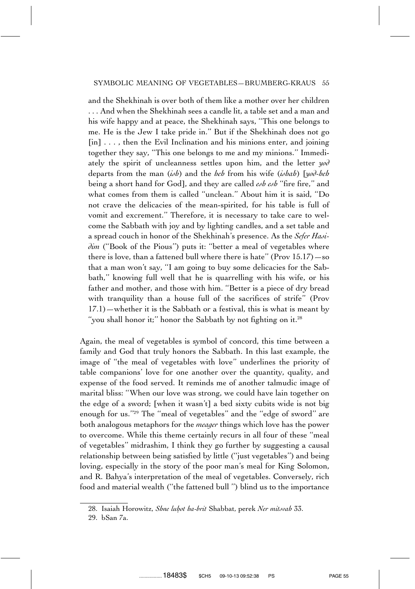and the Shekhinah is over both of them like a mother over her children . . . And when the Shekhinah sees a candle lit, a table set and a man and his wife happy and at peace, the Shekhinah says, ''This one belongs to me. He is the Jew I take pride in.'' But if the Shekhinah does not go  $\lceil$ in]  $\ldots$ , then the Evil Inclination and his minions enter, and joining together they say, ''This one belongs to me and my minions.'' Immediately the spirit of uncleanness settles upon him, and the letter *yod* departs from the man (*ish*) and the *heh* from his wife (*ishah*) [*yod-heh* being a short hand for God], and they are called *esh esh* ''fire fire,'' and what comes from them is called ''unclean.'' About him it is said, ''Do not crave the delicacies of the mean-spirited, for his table is full of vomit and excrement.'' Therefore, it is necessary to take care to welcome the Sabbath with joy and by lighting candles, and a set table and a spread couch in honor of the Shekhinah's presence. As the *Sefer Hasidim* (''Book of the Pious'') puts it: ''better a meal of vegetables where there is love, than a fattened bull where there is hate'' (Prov  $15.17$ ) —so that a man won't say, ''I am going to buy some delicacies for the Sabbath,'' knowing full well that he is quarrelling with his wife, or his father and mother, and those with him. ''Better is a piece of dry bread with tranquility than a house full of the sacrifices of strife'' (Prov 17.1)—whether it is the Sabbath or a festival, this is what is meant by "you shall honor it;" honor the Sabbath by not fighting on it.<sup>28</sup>

Again, the meal of vegetables is symbol of concord, this time between a family and God that truly honors the Sabbath. In this last example, the image of ''the meal of vegetables with love'' underlines the priority of table companions' love for one another over the quantity, quality, and expense of the food served. It reminds me of another talmudic image of marital bliss: ''When our love was strong, we could have lain together on the edge of a sword; [when it wasn't] a bed sixty cubits wide is not big enough for us.''29 The ''meal of vegetables'' and the ''edge of sword'' are both analogous metaphors for the *meager* things which love has the power to overcome. While this theme certainly recurs in all four of these ''meal of vegetables'' midrashim, I think they go further by suggesting a causal relationship between being satisfied by little (''just vegetables'') and being loving, especially in the story of the poor man's meal for King Solomon, and R. Bahya's interpretation of the meal of vegetables. Conversely, rich food and material wealth (''the fattened bull '') blind us to the importance

<sup>28.</sup> Isaiah Horowitz, *Shne luhot ha-brit* Shabbat, perek *Ner mitsvah* 33.

<sup>29.</sup> bSan 7a.